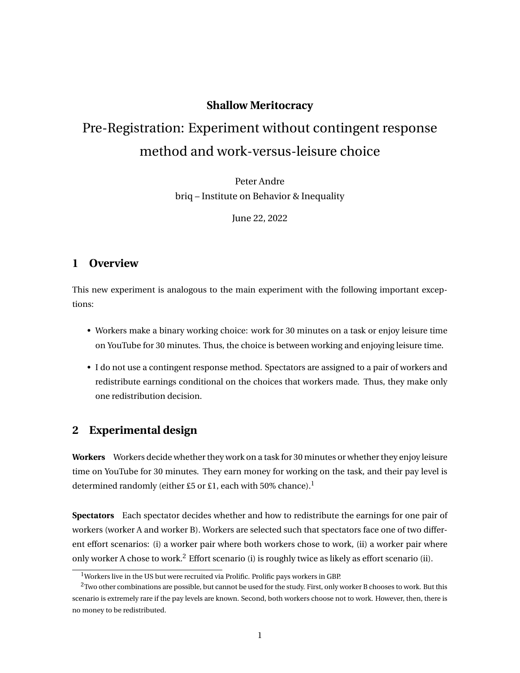#### **Shallow Meritocracy**

# Pre-Registration: Experiment without contingent response method and work-versus-leisure choice

Peter Andre briq – Institute on Behavior & Inequality

June 22, 2022

#### **1 Overview**

This new experiment is analogous to the main experiment with the following important exceptions:

- Workers make a binary working choice: work for 30 minutes on a task or enjoy leisure time on YouTube for 30 minutes. Thus, the choice is between working and enjoying leisure time.
- I do not use a contingent response method. Spectators are assigned to a pair of workers and redistribute earnings conditional on the choices that workers made. Thus, they make only one redistribution decision.

#### **2 Experimental design**

**Workers** Workers decide whether they work on a task for 30 minutes or whether they enjoy leisure time on YouTube for 30 minutes. They earn money for working on the task, and their pay level is determined randomly (either £5 or £1, each with 50% chance).<sup>1</sup>

**Spectators** Each spectator decides whether and how to redistribute the earnings for one pair of workers (worker A and worker B). Workers are selected such that spectators face one of two different effort scenarios: (i) a worker pair where both workers chose to work, (ii) a worker pair where only worker A chose to work.<sup>2</sup> Effort scenario (i) is roughly twice as likely as effort scenario (ii).

<sup>&</sup>lt;sup>1</sup>Workers live in the US but were recruited via Prolific. Prolific pays workers in GBP.

 $2$ Two other combinations are possible, but cannot be used for the study. First, only worker B chooses to work. But this scenario is extremely rare if the pay levels are known. Second, both workers choose not to work. However, then, there is no money to be redistributed.